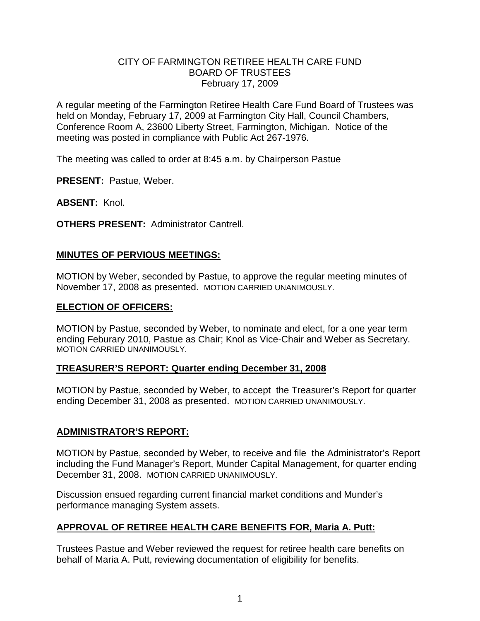## CITY OF FARMINGTON RETIREE HEALTH CARE FUND BOARD OF TRUSTEES February 17, 2009

A regular meeting of the Farmington Retiree Health Care Fund Board of Trustees was held on Monday, February 17, 2009 at Farmington City Hall, Council Chambers, Conference Room A, 23600 Liberty Street, Farmington, Michigan. Notice of the meeting was posted in compliance with Public Act 267-1976.

The meeting was called to order at 8:45 a.m. by Chairperson Pastue

**PRESENT:** Pastue, Weber.

**ABSENT:** Knol.

**OTHERS PRESENT:** Administrator Cantrell.

#### **MINUTES OF PERVIOUS MEETINGS:**

MOTION by Weber, seconded by Pastue, to approve the regular meeting minutes of November 17, 2008 as presented. MOTION CARRIED UNANIMOUSLY.

#### **ELECTION OF OFFICERS:**

MOTION by Pastue, seconded by Weber, to nominate and elect, for a one year term ending Feburary 2010, Pastue as Chair; Knol as Vice-Chair and Weber as Secretary. MOTION CARRIED UNANIMOUSLY.

## **TREASURER'S REPORT: Quarter ending December 31, 2008**

MOTION by Pastue, seconded by Weber, to accept the Treasurer's Report for quarter ending December 31, 2008 as presented. MOTION CARRIED UNANIMOUSLY.

## **ADMINISTRATOR'S REPORT:**

MOTION by Pastue, seconded by Weber, to receive and file the Administrator's Report including the Fund Manager's Report, Munder Capital Management, for quarter ending December 31, 2008. MOTION CARRIED UNANIMOUSLY.

Discussion ensued regarding current financial market conditions and Munder's performance managing System assets.

## **APPROVAL OF RETIREE HEALTH CARE BENEFITS FOR, Maria A. Putt:**

Trustees Pastue and Weber reviewed the request for retiree health care benefits on behalf of Maria A. Putt, reviewing documentation of eligibility for benefits.